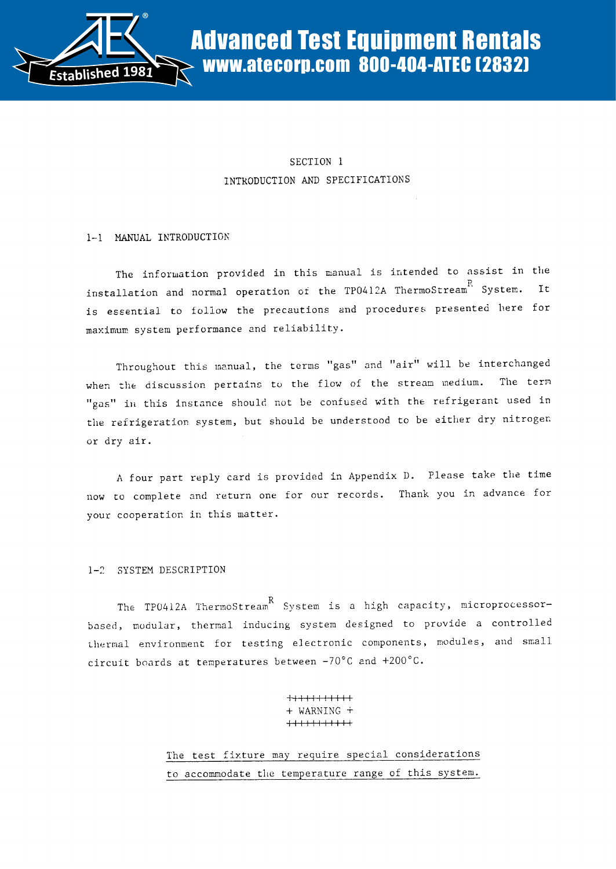

# SECTION 1 INTRODUCTION AND SPECIFICATIONS

## 1-1 MANUAL INTRODUCTION

The information provided in this manual is intended to assist in the installation and normal operation of the TP0412A ThermoStream  $\overset{R}{S}$  System. It is essential to follow the precautions and procedures presented here for maximum system performance and reliability .

Throughout this manual, the terms "gas" and "air" will be interchanged when the discussion pertains to the flow of the stream medium. The term "gas" in this instance should not be confused with the refrigerant used in the refrigeration system, but should be understood to be either dry nitrogen. or dry air .

A four part reply card is provided in Appendix D. Please take the time now to complete and return one for our records. Thank you in advance for your cooperation in this matter.

## 1-2 SYSTEM DESCRIPTION

The TP0412A ThermoStream K System is a high capacity, microprocessorbased, modular, thermal inducing system designed to provide a controlled thermal environment for testing electronic components, modules, and small circuit boards at temperatures between -70°C and +200°C.

> $+\!+\!+\!+\!+\!+\!+\!+\!+\!+$ + WARNING 1111111111i

The test fixture may require special considerations to accommodate the temperature range of this system.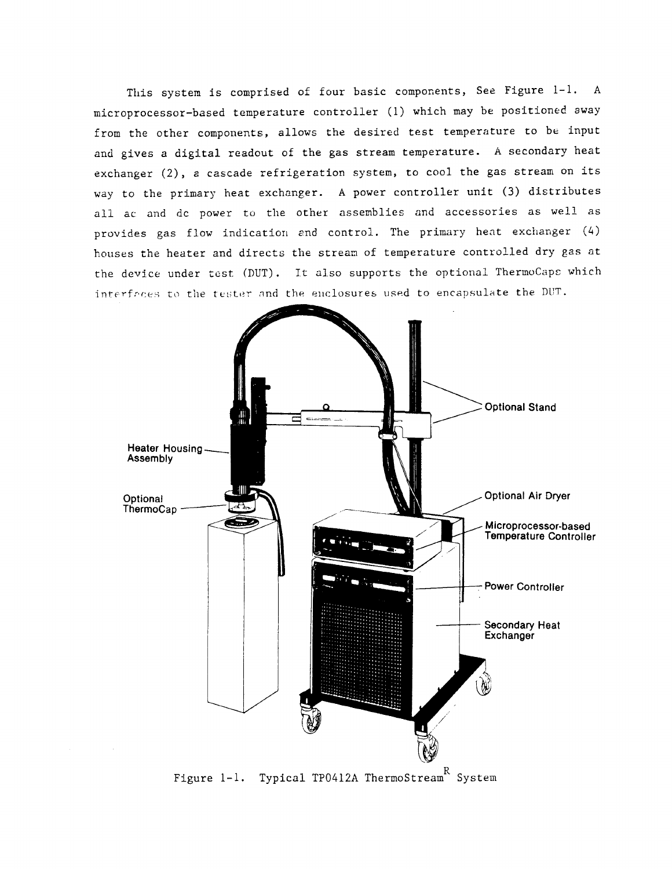This system is comprised of four basic components, See Figure 1-1. A microprocessor-based temperature controller (1) which may be positioned away from the other components, allows the desired test temperature to be input and gives a digital readout of the gas stream temperature. A secondary heat exchanger (2), a cascade refrigeration system, to cool the gas stream on its way to the primary heat exchanger. A power controller unit (3) distributes all ac and dc power to the other assemblies and accessories as well as provides gas flow indication and control. The primary heat exchanger (4) houses the heater and directs the stream of temperature controlled dry gas at the device under test (DUT). It also supports the optional ThermoCaps which interfrces to the tester and the enclosures used to encapsulate the DUT.

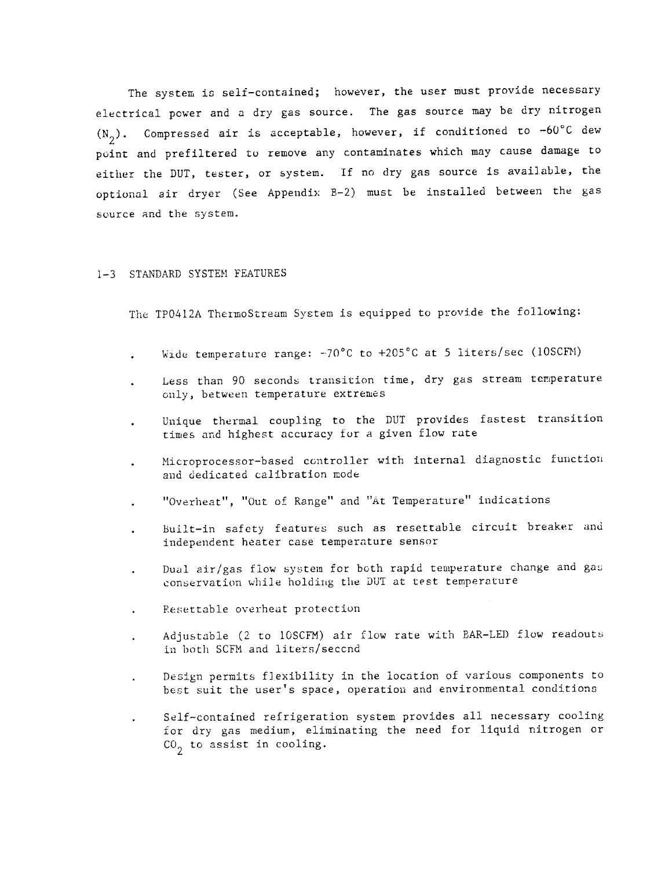The system is self-contained; however, the user must provide necessary electrical power and a dry gas source. The gas source may be dry nitrogen  $(N_2)$ . Compressed air is acceptable, however, if conditioned to -60°C dew point and prefiltered to remove any contaminates which may cause damage to either the DUT, tester, or system. If no dry gas source is available, the optional air dryer (See Appendix B-2) must be installed between the gas source and the system.

## 1-3 STANDARD SYSTEM FEATURES

The TP0412A ThermoStream System is equipped to provide the following:

- Wide temperature range: -70°C to +205°C at 5 liters/sec (10SCFM)
- Less than 90 seconds transition time, dry gas stream temperature only, between temperature extremes
- Unique thermal coupling to the DUT provides fastest transition times and highest accuracy for a given flow rate
- Microprocessor-based controller with internal diagnostic function and dedicated calibration mode
- "Overheat", "Out of Range" and "At Temperature" indications
- built-in safety features such as resettable circuit breaker and independent heater case temperature sensor
- Dual air/gas flow system for both rapid temperature change and gas conservation while holding the DUT at test temperature
- Resettable overheat protection  $\ddot{\phantom{a}}$
- Adjustable (2 to 10SCFM) air flow rate with BAR-LED flow readouts in both SCFM and liters/seccnd
- Design permits flexibility in the location of various components to best suit the user's space, operation and environmental conditions
- Self-contained refrigeration system provides all necessary cooling for dry gas medium, eliminating the need for liquid nitrogen or  $CO<sub>2</sub>$  to assist in cooling.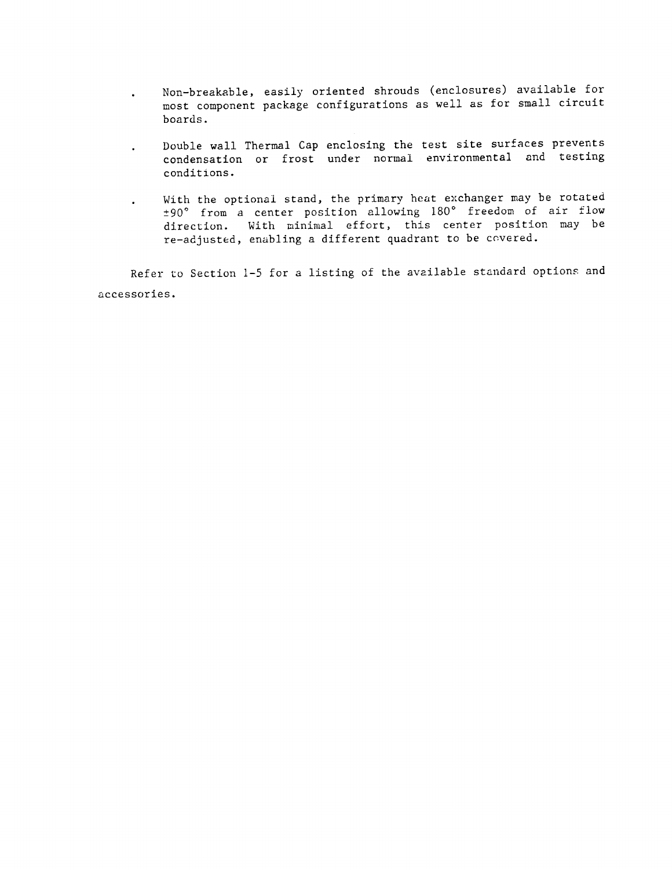- Non-breakable, easily oriented shrouds (enclosures) available for  $\bullet$ most component package configurations as well as for small circuit boards .
- Double wall Thermal Cap enclosing the test site surfaces prevents  $\bullet$  . condensation or frost under normal environmental and testing conditions .
- With the optional stand, the primary heat exchanger may be rotated  $\sim$ ±90 ° from a center position allowing <sup>180</sup> ° freedom of air flow direction. With minimal effort, this center position may be re-adjusted, enabling a different quadrant to be covered .

Refer to Section 1-5 for a listing of the available standard options and accessories .